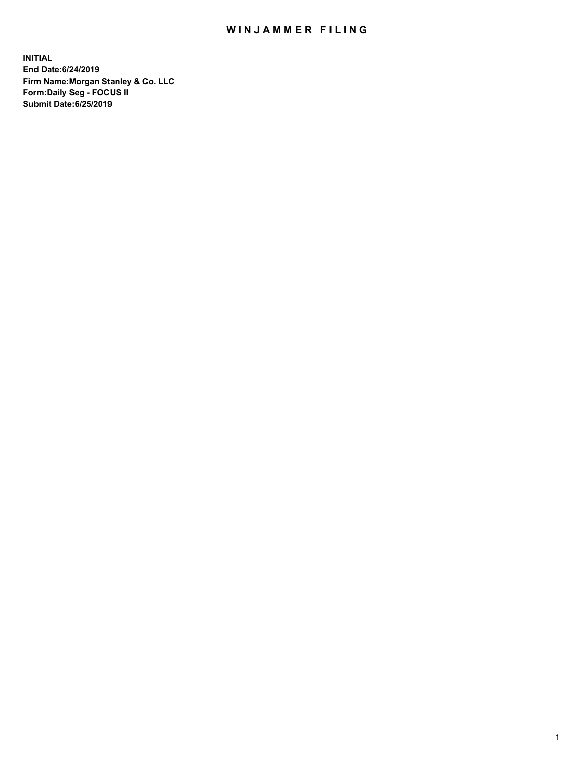## WIN JAMMER FILING

**INITIAL End Date:6/24/2019 Firm Name:Morgan Stanley & Co. LLC Form:Daily Seg - FOCUS II Submit Date:6/25/2019**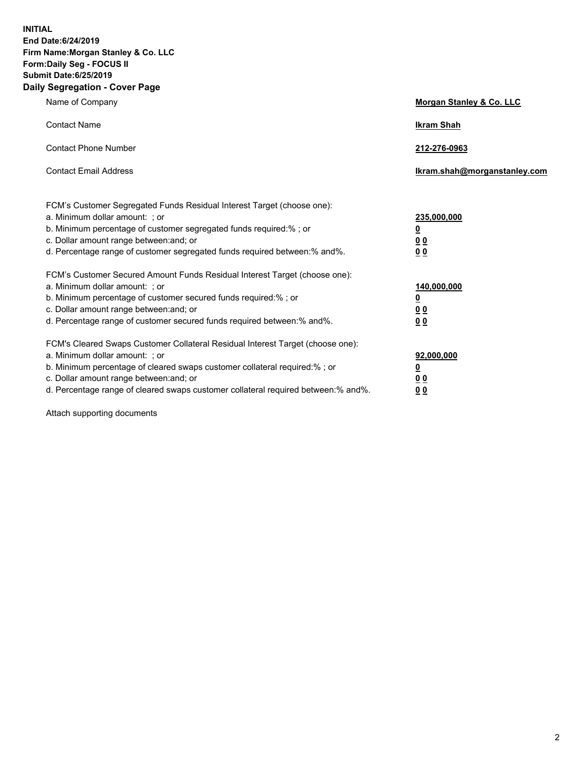**INITIAL End Date:6/24/2019 Firm Name:Morgan Stanley & Co. LLC Form:Daily Seg - FOCUS II Submit Date:6/25/2019 Daily Segregation - Cover Page**

| Name of Company                                                                                                                                                                                                                                                                                                                | Morgan Stanley & Co. LLC                                    |
|--------------------------------------------------------------------------------------------------------------------------------------------------------------------------------------------------------------------------------------------------------------------------------------------------------------------------------|-------------------------------------------------------------|
| <b>Contact Name</b>                                                                                                                                                                                                                                                                                                            | <b>Ikram Shah</b>                                           |
| <b>Contact Phone Number</b>                                                                                                                                                                                                                                                                                                    | 212-276-0963                                                |
| <b>Contact Email Address</b>                                                                                                                                                                                                                                                                                                   | Ikram.shah@morganstanley.com                                |
| FCM's Customer Segregated Funds Residual Interest Target (choose one):<br>a. Minimum dollar amount: ; or<br>b. Minimum percentage of customer segregated funds required:% ; or<br>c. Dollar amount range between: and; or<br>d. Percentage range of customer segregated funds required between:% and%.                         | 235,000,000<br><u>0</u><br>0 <sub>0</sub><br>0 <sub>0</sub> |
| FCM's Customer Secured Amount Funds Residual Interest Target (choose one):<br>a. Minimum dollar amount: ; or<br>b. Minimum percentage of customer secured funds required:%; or<br>c. Dollar amount range between: and; or<br>d. Percentage range of customer secured funds required between:% and%.                            | 140,000,000<br><u>0</u><br>0 <sub>0</sub><br>0 <sub>0</sub> |
| FCM's Cleared Swaps Customer Collateral Residual Interest Target (choose one):<br>a. Minimum dollar amount: ; or<br>b. Minimum percentage of cleared swaps customer collateral required:% ; or<br>c. Dollar amount range between: and; or<br>d. Percentage range of cleared swaps customer collateral required between:% and%. | 92,000,000<br><u>0</u><br><u>00</u><br>0 <sub>0</sub>       |

Attach supporting documents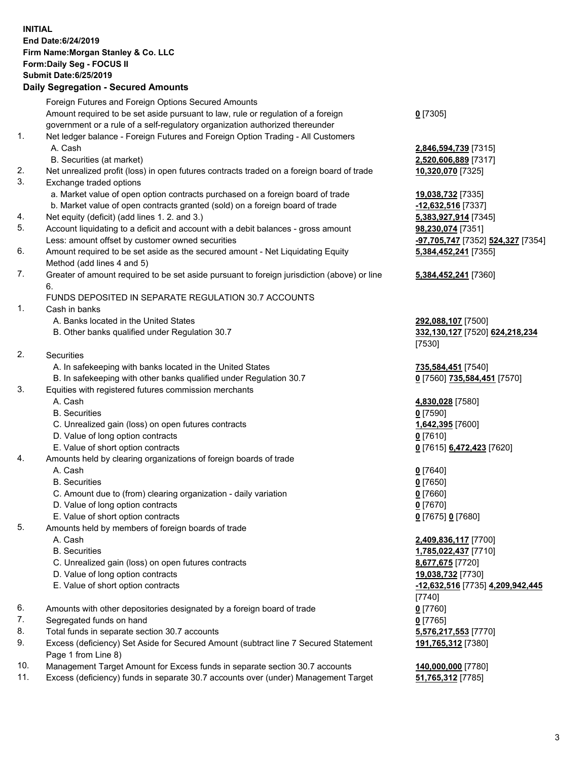## **INITIAL End Date:6/24/2019 Firm Name:Morgan Stanley & Co. LLC Form:Daily Seg - FOCUS II Submit Date:6/25/2019 Daily Segregation - Secured Amounts**

Foreign Futures and Foreign Options Secured Amounts Amount required to be set aside pursuant to law, rule or regulation of a foreign government or a rule of a self-regulatory organization authorized thereunder **0** [7305] 1. Net ledger balance - Foreign Futures and Foreign Option Trading - All Customers A. Cash **2,846,594,739** [7315] B. Securities (at market) **2,520,606,889** [7317] 2. Net unrealized profit (loss) in open futures contracts traded on a foreign board of trade **10,320,070** [7325] 3. Exchange traded options a. Market value of open option contracts purchased on a foreign board of trade **19,038,732** [7335] b. Market value of open contracts granted (sold) on a foreign board of trade **-12,632,516** [7337] 4. Net equity (deficit) (add lines 1. 2. and 3.) **5,383,927,914** [7345] 5. Account liquidating to a deficit and account with a debit balances - gross amount **98,230,074** [7351] Less: amount offset by customer owned securities **-97,705,747** [7352] **524,327** [7354] 6. Amount required to be set aside as the secured amount - Net Liquidating Equity Method (add lines 4 and 5) **5,384,452,241** [7355] 7. Greater of amount required to be set aside pursuant to foreign jurisdiction (above) or line 6. **5,384,452,241** [7360] FUNDS DEPOSITED IN SEPARATE REGULATION 30.7 ACCOUNTS 1. Cash in banks A. Banks located in the United States **292,088,107** [7500] B. Other banks qualified under Regulation 30.7 **332,130,127** [7520] **624,218,234** [7530] 2. Securities A. In safekeeping with banks located in the United States **735,584,451** [7540] B. In safekeeping with other banks qualified under Regulation 30.7 **0** [7560] **735,584,451** [7570] 3. Equities with registered futures commission merchants A. Cash **4,830,028** [7580] B. Securities **0** [7590] C. Unrealized gain (loss) on open futures contracts **1,642,395** [7600] D. Value of long option contracts **0** [7610] E. Value of short option contracts **0** [7615] **6,472,423** [7620] 4. Amounts held by clearing organizations of foreign boards of trade A. Cash **0** [7640] B. Securities **0** [7650] C. Amount due to (from) clearing organization - daily variation **0** [7660] D. Value of long option contracts **0** [7670] E. Value of short option contracts **0** [7675] **0** [7680] 5. Amounts held by members of foreign boards of trade A. Cash **2,409,836,117** [7700] B. Securities **1,785,022,437** [7710] C. Unrealized gain (loss) on open futures contracts **8,677,675** [7720] D. Value of long option contracts **19,038,732** [7730] E. Value of short option contracts **-12,632,516** [7735] **4,209,942,445** [7740] 6. Amounts with other depositories designated by a foreign board of trade **0** [7760] 7. Segregated funds on hand **0** [7765] 8. Total funds in separate section 30.7 accounts **5,576,217,553** [7770] 9. Excess (deficiency) Set Aside for Secured Amount (subtract line 7 Secured Statement **191,765,312** [7380]

10. Management Target Amount for Excess funds in separate section 30.7 accounts **140,000,000** [7780]

Page 1 from Line 8)

11. Excess (deficiency) funds in separate 30.7 accounts over (under) Management Target **51,765,312** [7785]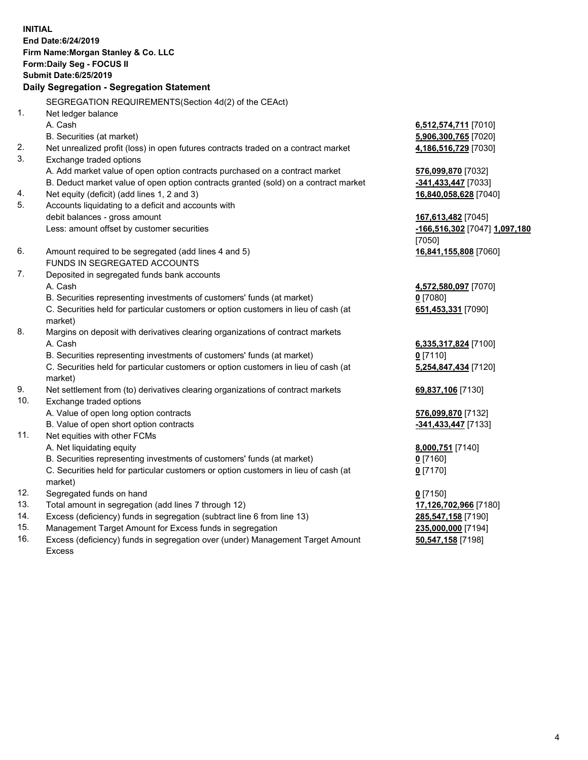**INITIAL End Date:6/24/2019 Firm Name:Morgan Stanley & Co. LLC Form:Daily Seg - FOCUS II Submit Date:6/25/2019 Daily Segregation - Segregation Statement** SEGREGATION REQUIREMENTS(Section 4d(2) of the CEAct) 1. Net ledger balance A. Cash **6,512,574,711** [7010] B. Securities (at market) **5,906,300,765** [7020] 2. Net unrealized profit (loss) in open futures contracts traded on a contract market **4,186,516,729** [7030] 3. Exchange traded options A. Add market value of open option contracts purchased on a contract market **576,099,870** [7032] B. Deduct market value of open option contracts granted (sold) on a contract market **-341,433,447** [7033] 4. Net equity (deficit) (add lines 1, 2 and 3) **16,840,058,628** [7040] 5. Accounts liquidating to a deficit and accounts with debit balances - gross amount **167,613,482** [7045] Less: amount offset by customer securities **-166,516,302** [7047] **1,097,180** [7050] 6. Amount required to be segregated (add lines 4 and 5) **16,841,155,808** [7060] FUNDS IN SEGREGATED ACCOUNTS 7. Deposited in segregated funds bank accounts A. Cash **4,572,580,097** [7070] B. Securities representing investments of customers' funds (at market) **0** [7080] C. Securities held for particular customers or option customers in lieu of cash (at market) **651,453,331** [7090] 8. Margins on deposit with derivatives clearing organizations of contract markets A. Cash **6,335,317,824** [7100] B. Securities representing investments of customers' funds (at market) **0** [7110] C. Securities held for particular customers or option customers in lieu of cash (at market) **5,254,847,434** [7120] 9. Net settlement from (to) derivatives clearing organizations of contract markets **69,837,106** [7130] 10. Exchange traded options A. Value of open long option contracts **576,099,870** [7132] B. Value of open short option contracts **-341,433,447** [7133] 11. Net equities with other FCMs A. Net liquidating equity **8,000,751** [7140] B. Securities representing investments of customers' funds (at market) **0** [7160] C. Securities held for particular customers or option customers in lieu of cash (at market) **0** [7170] 12. Segregated funds on hand **0** [7150] 13. Total amount in segregation (add lines 7 through 12) **17,126,702,966** [7180] 14. Excess (deficiency) funds in segregation (subtract line 6 from line 13) **285,547,158** [7190]

- 15. Management Target Amount for Excess funds in segregation **235,000,000** [7194]
- 16. Excess (deficiency) funds in segregation over (under) Management Target Amount Excess

**50,547,158** [7198]